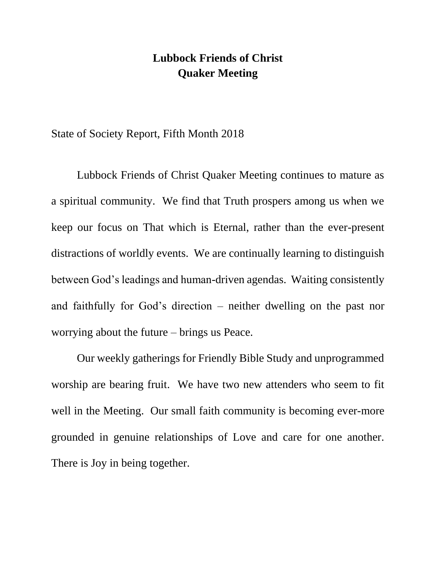## **Lubbock Friends of Christ Quaker Meeting**

State of Society Report, Fifth Month 2018

Lubbock Friends of Christ Quaker Meeting continues to mature as a spiritual community. We find that Truth prospers among us when we keep our focus on That which is Eternal, rather than the ever-present distractions of worldly events. We are continually learning to distinguish between God's leadings and human-driven agendas. Waiting consistently and faithfully for God's direction – neither dwelling on the past nor worrying about the future – brings us Peace.

Our weekly gatherings for Friendly Bible Study and unprogrammed worship are bearing fruit. We have two new attenders who seem to fit well in the Meeting. Our small faith community is becoming ever-more grounded in genuine relationships of Love and care for one another. There is Joy in being together.